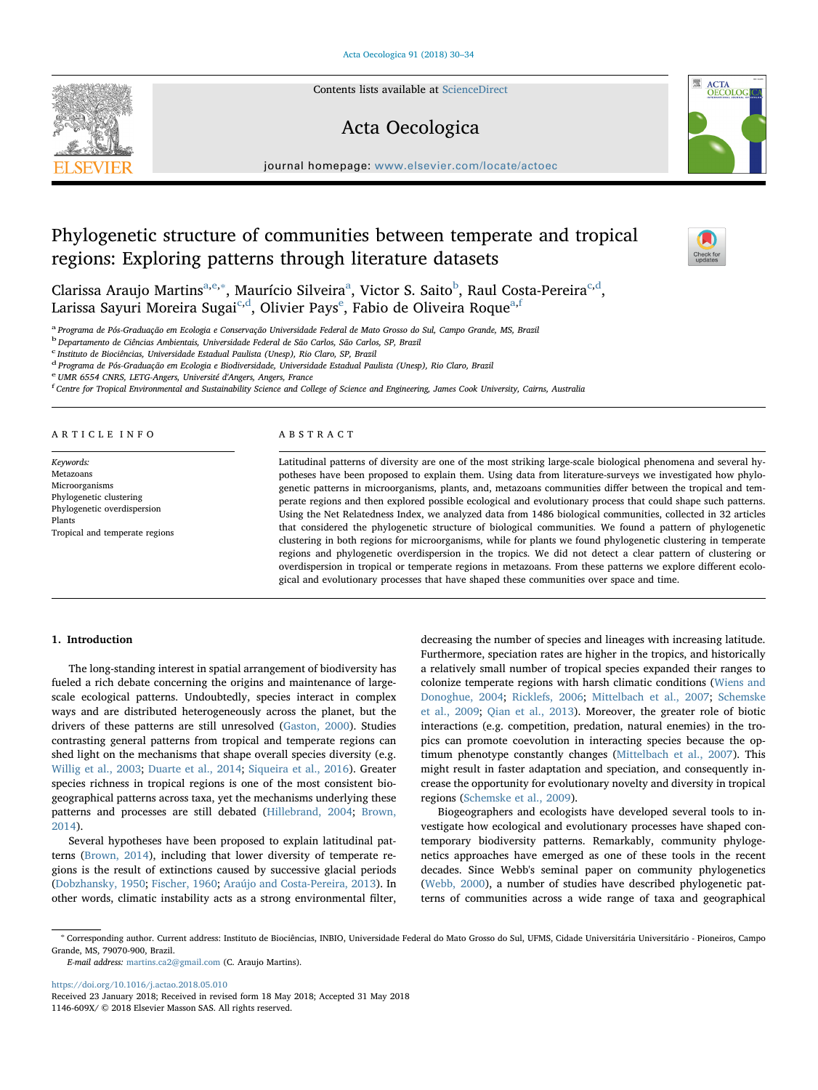Contents lists available at [ScienceDirect](http://www.sciencedirect.com/science/journal/1146609X)

## Acta Oecologica

journal homepage: [www.elsevier.com/locate/actoec](https://www.elsevier.com/locate/actoec)

# Phylogenetic structure of communities between temperate and tropical regions: Exploring patterns through literature datasets

Cl[a](#page-0-0)rissa Araujo Martins<sup>a[,e](#page-0-1),</sup>\*, Maurício Silveira<sup>a</sup>, Victor S. Saito<sup>[b](#page-0-3)</sup>, Raul Costa-Pereira<sup>[c](#page-0-4),[d](#page-0-5)</sup>, Larissa Sayuri Moreira Sugai<sup>[c](#page-0-4),[d](#page-0-5)</sup>, Olivi[e](#page-0-1)r Pays<sup>e</sup>, Fabio de Oliveira Roque<sup>[a,](#page-0-0)[f](#page-0-6)</sup>

<span id="page-0-0"></span><sup>a</sup> Programa de Pós-Graduação em Ecologia e Conservação Universidade Federal de Mato Grosso do Sul, Campo Grande, MS, Brazil<br><sup>b</sup> Departamento de Ciências Ambientais, Universidade Federal de São Carlos, São Carlos, SP, Braz

<span id="page-0-3"></span>

<span id="page-0-4"></span><sup>c</sup> Instituto de Biociências, Universidade Estadual Paulista (Unesp), Rio Claro, SP, Brazil

<span id="page-0-5"></span><sup>d</sup> Programa de Pós-Graduação em Ecologia e Biodiversidade, Universidade Estadual Paulista (Unesp), Rio Claro, Brazil<br><sup>e</sup> UMR 6554 CNRS, LETG-Angers, Université d'Angers, Angers, France

<span id="page-0-1"></span>

<span id="page-0-6"></span>f Centre for Tropical Environmental and Sustainability Science and College of Science and Engineering, James Cook University, Cairns, Australia

#### ARTICLE INFO

Keywords: Metazoans Microorganisms Phylogenetic clustering Phylogenetic overdispersion Plants Tropical and temperate regions

#### ABSTRACT

Latitudinal patterns of diversity are one of the most striking large-scale biological phenomena and several hypotheses have been proposed to explain them. Using data from literature-surveys we investigated how phylogenetic patterns in microorganisms, plants, and, metazoans communities differ between the tropical and temperate regions and then explored possible ecological and evolutionary process that could shape such patterns. Using the Net Relatedness Index, we analyzed data from 1486 biological communities, collected in 32 articles that considered the phylogenetic structure of biological communities. We found a pattern of phylogenetic clustering in both regions for microorganisms, while for plants we found phylogenetic clustering in temperate regions and phylogenetic overdispersion in the tropics. We did not detect a clear pattern of clustering or overdispersion in tropical or temperate regions in metazoans. From these patterns we explore different ecological and evolutionary processes that have shaped these communities over space and time.

## 1. Introduction

The long-standing interest in spatial arrangement of biodiversity has fueled a rich debate concerning the origins and maintenance of largescale ecological patterns. Undoubtedly, species interact in complex ways and are distributed heterogeneously across the planet, but the drivers of these patterns are still unresolved [\(Gaston, 2000](#page-4-0)). Studies contrasting general patterns from tropical and temperate regions can shed light on the mechanisms that shape overall species diversity (e.g. [Willig et al., 2003;](#page-4-1) [Duarte et al., 2014;](#page-4-2) [Siqueira et al., 2016](#page-4-3)). Greater species richness in tropical regions is one of the most consistent biogeographical patterns across taxa, yet the mechanisms underlying these patterns and processes are still debated [\(Hillebrand, 2004;](#page-4-4) [Brown,](#page-4-5) [2014\)](#page-4-5).

Several hypotheses have been proposed to explain latitudinal patterns ([Brown, 2014](#page-4-5)), including that lower diversity of temperate regions is the result of extinctions caused by successive glacial periods ([Dobzhansky, 1950;](#page-4-6) [Fischer, 1960](#page-4-7); [Araújo and Costa-Pereira, 2013\)](#page-4-8). In other words, climatic instability acts as a strong environmental filter,

decreasing the number of species and lineages with increasing latitude. Furthermore, speciation rates are higher in the tropics, and historically a relatively small number of tropical species expanded their ranges to colonize temperate regions with harsh climatic conditions [\(Wiens and](#page-4-9) [Donoghue, 2004;](#page-4-9) [Ricklefs, 2006;](#page-4-10) [Mittelbach et al., 2007;](#page-4-11) [Schemske](#page-4-12) [et al., 2009](#page-4-12); [Qian et al., 2013\)](#page-4-13). Moreover, the greater role of biotic interactions (e.g. competition, predation, natural enemies) in the tropics can promote coevolution in interacting species because the optimum phenotype constantly changes [\(Mittelbach et al., 2007\)](#page-4-11). This might result in faster adaptation and speciation, and consequently increase the opportunity for evolutionary novelty and diversity in tropical regions ([Schemske et al., 2009\)](#page-4-12).

Biogeographers and ecologists have developed several tools to investigate how ecological and evolutionary processes have shaped contemporary biodiversity patterns. Remarkably, community phylogenetics approaches have emerged as one of these tools in the recent decades. Since Webb's seminal paper on community phylogenetics ([Webb, 2000](#page-4-14)), a number of studies have described phylogenetic patterns of communities across a wide range of taxa and geographical

<span id="page-0-2"></span><sup>∗</sup> Corresponding author. Current address: Instituto de Biociências, INBIO, Universidade Federal do Mato Grosso do Sul, UFMS, Cidade Universitária Universitário - Pioneiros, Campo Grande, MS, 79070-900, Brazil.

E-mail address: [martins.ca2@gmail.com](mailto:martins.ca2@gmail.com) (C. Araujo Martins).

<https://doi.org/10.1016/j.actao.2018.05.010>







Received 23 January 2018; Received in revised form 18 May 2018; Accepted 31 May 2018 1146-609X/ © 2018 Elsevier Masson SAS. All rights reserved.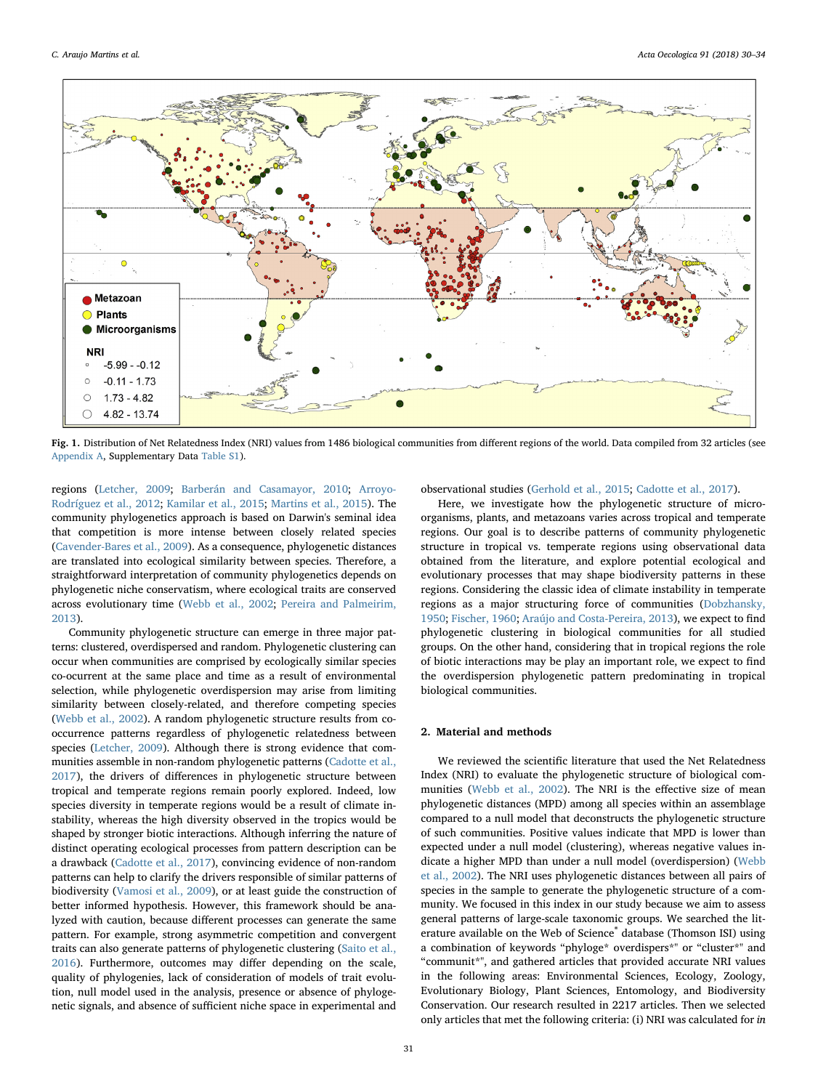<span id="page-1-0"></span>

Fig. 1. Distribution of Net Relatedness Index (NRI) values from 1486 biological communities from different regions of the world. Data compiled from 32 articles (see Appendix A, Supplementary Data Table S1).

regions [\(Letcher, 2009](#page-4-15); [Barberán and Casamayor, 2010;](#page-4-16) [Arroyo-](#page-4-17)[Rodríguez et al., 2012;](#page-4-17) [Kamilar et al., 2015;](#page-4-18) [Martins et al., 2015\)](#page-4-19). The community phylogenetics approach is based on Darwin's seminal idea that competition is more intense between closely related species ([Cavender-Bares et al., 2009\)](#page-4-20). As a consequence, phylogenetic distances are translated into ecological similarity between species. Therefore, a straightforward interpretation of community phylogenetics depends on phylogenetic niche conservatism, where ecological traits are conserved across evolutionary time [\(Webb et al., 2002](#page-4-21); [Pereira and Palmeirim,](#page-4-22) [2013\)](#page-4-22).

Community phylogenetic structure can emerge in three major patterns: clustered, overdispersed and random. Phylogenetic clustering can occur when communities are comprised by ecologically similar species co-ocurrent at the same place and time as a result of environmental selection, while phylogenetic overdispersion may arise from limiting similarity between closely-related, and therefore competing species ([Webb et al., 2002](#page-4-21)). A random phylogenetic structure results from cooccurrence patterns regardless of phylogenetic relatedness between species ([Letcher, 2009\)](#page-4-15). Although there is strong evidence that communities assemble in non-random phylogenetic patterns ([Cadotte et al.,](#page-4-23) [2017\)](#page-4-23), the drivers of differences in phylogenetic structure between tropical and temperate regions remain poorly explored. Indeed, low species diversity in temperate regions would be a result of climate instability, whereas the high diversity observed in the tropics would be shaped by stronger biotic interactions. Although inferring the nature of distinct operating ecological processes from pattern description can be a drawback ([Cadotte et al., 2017\)](#page-4-23), convincing evidence of non-random patterns can help to clarify the drivers responsible of similar patterns of biodiversity ([Vamosi et al., 2009\)](#page-4-24), or at least guide the construction of better informed hypothesis. However, this framework should be analyzed with caution, because different processes can generate the same pattern. For example, strong asymmetric competition and convergent traits can also generate patterns of phylogenetic clustering ([Saito et al.,](#page-4-25) [2016\)](#page-4-25). Furthermore, outcomes may differ depending on the scale, quality of phylogenies, lack of consideration of models of trait evolution, null model used in the analysis, presence or absence of phylogenetic signals, and absence of sufficient niche space in experimental and

observational studies ([Gerhold et al., 2015;](#page-4-26) [Cadotte et al., 2017](#page-4-23)).

Here, we investigate how the phylogenetic structure of microorganisms, plants, and metazoans varies across tropical and temperate regions. Our goal is to describe patterns of community phylogenetic structure in tropical vs. temperate regions using observational data obtained from the literature, and explore potential ecological and evolutionary processes that may shape biodiversity patterns in these regions. Considering the classic idea of climate instability in temperate regions as a major structuring force of communities ([Dobzhansky,](#page-4-6) [1950;](#page-4-6) [Fischer, 1960](#page-4-7); [Araújo and Costa-Pereira, 2013](#page-4-8)), we expect to find phylogenetic clustering in biological communities for all studied groups. On the other hand, considering that in tropical regions the role of biotic interactions may be play an important role, we expect to find the overdispersion phylogenetic pattern predominating in tropical biological communities.

## 2. Material and methods

We reviewed the scientific literature that used the Net Relatedness Index (NRI) to evaluate the phylogenetic structure of biological communities ([Webb et al., 2002](#page-4-21)). The NRI is the effective size of mean phylogenetic distances (MPD) among all species within an assemblage compared to a null model that deconstructs the phylogenetic structure of such communities. Positive values indicate that MPD is lower than expected under a null model (clustering), whereas negative values indicate a higher MPD than under a null model (overdispersion) ([Webb](#page-4-21) [et al., 2002](#page-4-21)). The NRI uses phylogenetic distances between all pairs of species in the sample to generate the phylogenetic structure of a community. We focused in this index in our study because we aim to assess general patterns of large-scale taxonomic groups. We searched the literature available on the Web of Science<sup>®</sup> database (Thomson ISI) using a combination of keywords "phyloge\* overdispers\*" or "cluster\*" and "communit\*", and gathered articles that provided accurate NRI values in the following areas: Environmental Sciences, Ecology, Zoology, Evolutionary Biology, Plant Sciences, Entomology, and Biodiversity Conservation. Our research resulted in 2217 articles. Then we selected only articles that met the following criteria: (i) NRI was calculated for in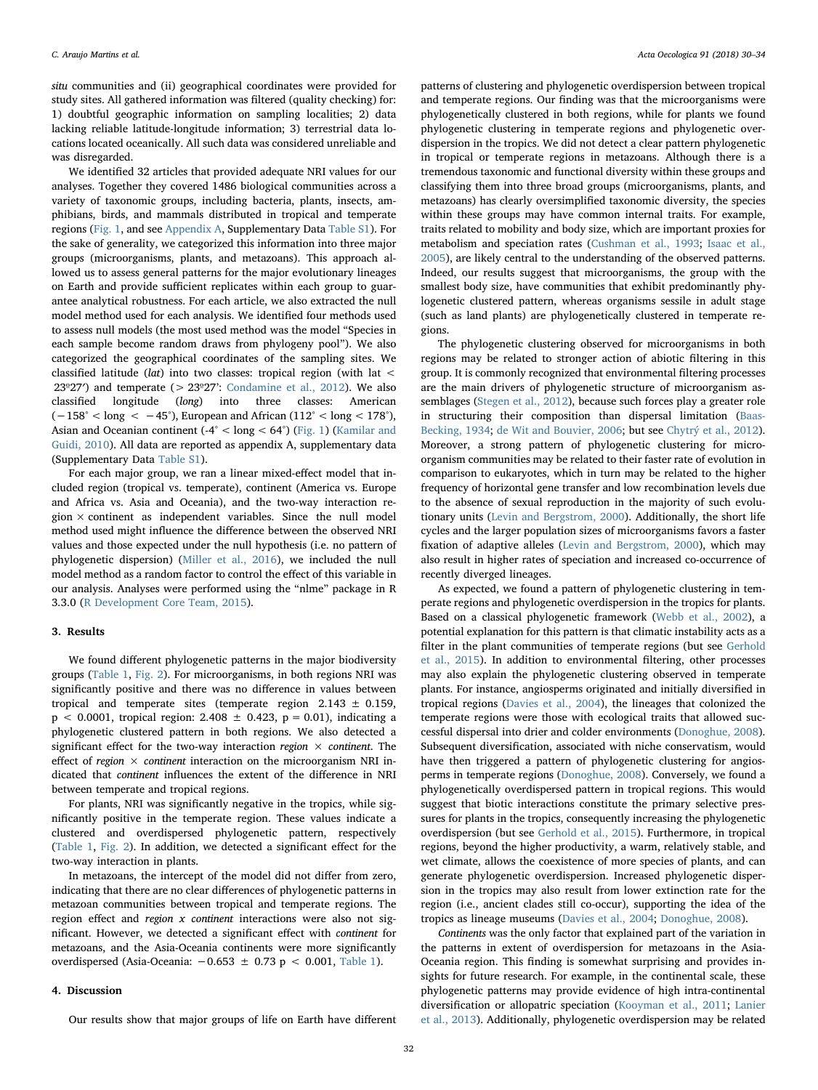situ communities and (ii) geographical coordinates were provided for study sites. All gathered information was filtered (quality checking) for: 1) doubtful geographic information on sampling localities; 2) data lacking reliable latitude-longitude information; 3) terrestrial data locations located oceanically. All such data was considered unreliable and was disregarded.

We identified 32 articles that provided adequate NRI values for our analyses. Together they covered 1486 biological communities across a variety of taxonomic groups, including bacteria, plants, insects, amphibians, birds, and mammals distributed in tropical and temperate regions [\(Fig. 1,](#page-1-0) and see Appendix A, Supplementary Data Table S1). For the sake of generality, we categorized this information into three major groups (microorganisms, plants, and metazoans). This approach allowed us to assess general patterns for the major evolutionary lineages on Earth and provide sufficient replicates within each group to guarantee analytical robustness. For each article, we also extracted the null model method used for each analysis. We identified four methods used to assess null models (the most used method was the model "Species in each sample become random draws from phylogeny pool"). We also categorized the geographical coordinates of the sampling sites. We classified latitude (lat) into two classes: tropical region (with lat < 23 $22$ 7′) and temperate (> 23 $22$ 7′: [Condamine et al., 2012](#page-4-27)). We also classified longitude (long) into three classes: American  $(-158° <$ long  $<-45°$ ), European and African (112°  $<$ long  $< 178°$ ), Asian and Oceanian continent (-4° < long < 64°) ([Fig. 1\)](#page-1-0) [\(Kamilar and](#page-4-28) [Guidi, 2010\)](#page-4-28). All data are reported as appendix A, supplementary data (Supplementary Data Table S1).

For each major group, we ran a linear mixed-effect model that included region (tropical vs. temperate), continent (America vs. Europe and Africa vs. Asia and Oceania), and the two-way interaction region  $\times$  continent as independent variables. Since the null model method used might influence the difference between the observed NRI values and those expected under the null hypothesis (i.e. no pattern of phylogenetic dispersion) ([Miller et al., 2016\)](#page-4-29), we included the null model method as a random factor to control the effect of this variable in our analysis. Analyses were performed using the "nlme" package in R 3.3.0 [\(R Development Core Team, 2015\)](#page-4-30).

## 3. Results

We found different phylogenetic patterns in the major biodiversity groups [\(Table 1,](#page-3-0) [Fig.](#page-3-1) 2). For microorganisms, in both regions NRI was significantly positive and there was no difference in values between tropical and temperate sites (temperate region  $2.143 \pm 0.159$ ,  $p$  < 0.0001, tropical region: 2.408  $\pm$  0.423, p = 0.01), indicating a phylogenetic clustered pattern in both regions. We also detected a significant effect for the two-way interaction region  $\times$  continent. The effect of region  $\times$  continent interaction on the microorganism NRI indicated that continent influences the extent of the difference in NRI between temperate and tropical regions.

For plants, NRI was significantly negative in the tropics, while significantly positive in the temperate region. These values indicate a clustered and overdispersed phylogenetic pattern, respectively ([Table 1,](#page-3-0) [Fig. 2](#page-3-1)). In addition, we detected a significant effect for the two-way interaction in plants.

In metazoans, the intercept of the model did not differ from zero, indicating that there are no clear differences of phylogenetic patterns in metazoan communities between tropical and temperate regions. The region effect and region  $x$  continent interactions were also not significant. However, we detected a significant effect with continent for metazoans, and the Asia-Oceania continents were more significantly overdispersed (Asia-Oceania:  $-0.653 \pm 0.73$  p < 0.001, [Table 1](#page-3-0)).

#### 4. Discussion

Our results show that major groups of life on Earth have different

patterns of clustering and phylogenetic overdispersion between tropical and temperate regions. Our finding was that the microorganisms were phylogenetically clustered in both regions, while for plants we found phylogenetic clustering in temperate regions and phylogenetic overdispersion in the tropics. We did not detect a clear pattern phylogenetic in tropical or temperate regions in metazoans. Although there is a tremendous taxonomic and functional diversity within these groups and classifying them into three broad groups (microorganisms, plants, and metazoans) has clearly oversimplified taxonomic diversity, the species within these groups may have common internal traits. For example, traits related to mobility and body size, which are important proxies for metabolism and speciation rates ([Cushman et al., 1993](#page-4-31); [Isaac et al.,](#page-4-32) [2005\)](#page-4-32), are likely central to the understanding of the observed patterns. Indeed, our results suggest that microorganisms, the group with the smallest body size, have communities that exhibit predominantly phylogenetic clustered pattern, whereas organisms sessile in adult stage (such as land plants) are phylogenetically clustered in temperate regions.

The phylogenetic clustering observed for microorganisms in both regions may be related to stronger action of abiotic filtering in this group. It is commonly recognized that environmental filtering processes are the main drivers of phylogenetic structure of microorganism assemblages ([Stegen et al., 2012\)](#page-4-33), because such forces play a greater role in structuring their composition than dispersal limitation [\(Baas-](#page-4-34)[Becking, 1934](#page-4-34); [de Wit and Bouvier, 2006](#page-4-35); but see [Chytrý et al., 2012](#page-4-36)). Moreover, a strong pattern of phylogenetic clustering for microorganism communities may be related to their faster rate of evolution in comparison to eukaryotes, which in turn may be related to the higher frequency of horizontal gene transfer and low recombination levels due to the absence of sexual reproduction in the majority of such evolutionary units ([Levin and Bergstrom, 2000\)](#page-4-37). Additionally, the short life cycles and the larger population sizes of microorganisms favors a faster fixation of adaptive alleles ([Levin and Bergstrom, 2000\)](#page-4-37), which may also result in higher rates of speciation and increased co-occurrence of recently diverged lineages.

As expected, we found a pattern of phylogenetic clustering in temperate regions and phylogenetic overdispersion in the tropics for plants. Based on a classical phylogenetic framework ([Webb et al., 2002\)](#page-4-21), a potential explanation for this pattern is that climatic instability acts as a filter in the plant communities of temperate regions (but see [Gerhold](#page-4-26) [et al., 2015](#page-4-26)). In addition to environmental filtering, other processes may also explain the phylogenetic clustering observed in temperate plants. For instance, angiosperms originated and initially diversified in tropical regions ([Davies et al., 2004](#page-4-38)), the lineages that colonized the temperate regions were those with ecological traits that allowed successful dispersal into drier and colder environments [\(Donoghue, 2008](#page-4-39)). Subsequent diversification, associated with niche conservatism, would have then triggered a pattern of phylogenetic clustering for angiosperms in temperate regions ([Donoghue, 2008](#page-4-39)). Conversely, we found a phylogenetically overdispersed pattern in tropical regions. This would suggest that biotic interactions constitute the primary selective pressures for plants in the tropics, consequently increasing the phylogenetic overdispersion (but see [Gerhold et al., 2015\)](#page-4-26). Furthermore, in tropical regions, beyond the higher productivity, a warm, relatively stable, and wet climate, allows the coexistence of more species of plants, and can generate phylogenetic overdispersion. Increased phylogenetic dispersion in the tropics may also result from lower extinction rate for the region (i.e., ancient clades still co-occur), supporting the idea of the tropics as lineage museums ([Davies et al., 2004](#page-4-38); [Donoghue, 2008](#page-4-39)).

Continents was the only factor that explained part of the variation in the patterns in extent of overdispersion for metazoans in the Asia-Oceania region. This finding is somewhat surprising and provides insights for future research. For example, in the continental scale, these phylogenetic patterns may provide evidence of high intra-continental diversification or allopatric speciation ([Kooyman et al., 2011;](#page-4-40) [Lanier](#page-4-41) [et al., 2013\)](#page-4-41). Additionally, phylogenetic overdispersion may be related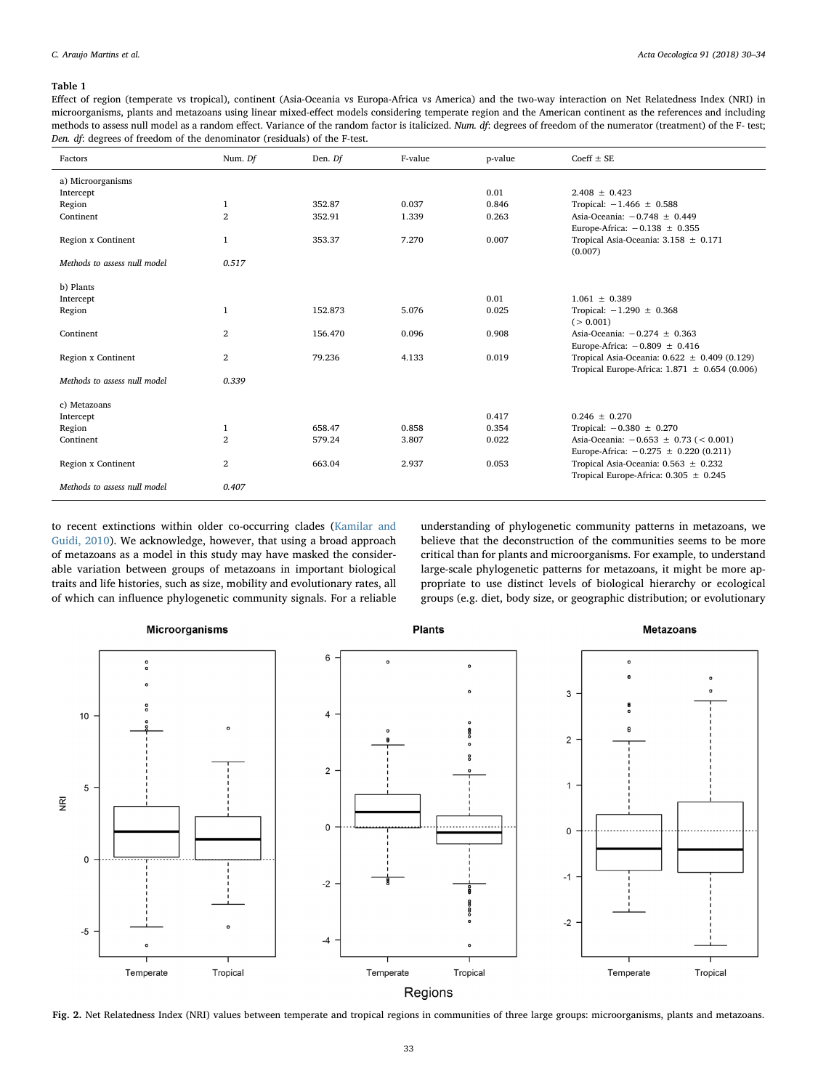#### <span id="page-3-0"></span>Table 1

Effect of region (temperate vs tropical), continent (Asia-Oceania vs Europa-Africa vs America) and the two-way interaction on Net Relatedness Index (NRI) in microorganisms, plants and metazoans using linear mixed-effect models considering temperate region and the American continent as the references and including methods to assess null model as a random effect. Variance of the random factor is italicized. Num. df: degrees of freedom of the numerator (treatment) of the F- test; Den. df: degrees of freedom of the denominator (residuals) of the F-test.

| Factors                      | Num. Df          | Den. Df | F-value | p-value | Coeff $\pm$ SE                                    |
|------------------------------|------------------|---------|---------|---------|---------------------------------------------------|
| a) Microorganisms            |                  |         |         |         |                                                   |
| Intercept                    |                  |         |         | 0.01    | $2.408 \pm 0.423$                                 |
| Region                       | 1                | 352.87  | 0.037   | 0.846   | Tropical: $-1.466 \pm 0.588$                      |
| Continent                    | $\overline{2}$   | 352.91  | 1.339   | 0.263   | Asia-Oceania: $-0.748 \pm 0.449$                  |
|                              |                  |         |         |         | Europe-Africa: $-0.138 \pm 0.355$                 |
| Region x Continent           | $\mathbf{1}$     | 353.37  | 7.270   | 0.007   | Tropical Asia-Oceania: $3.158 \pm 0.171$          |
| Methods to assess null model | 0.517            |         |         |         | (0.007)                                           |
|                              |                  |         |         |         |                                                   |
| b) Plants                    |                  |         |         |         |                                                   |
| Intercept                    |                  |         |         | 0.01    | $1.061 + 0.389$                                   |
| Region                       | $\mathbf{1}$     | 152.873 | 5.076   | 0.025   | Tropical: $-1.290 \pm 0.368$                      |
|                              |                  |         |         |         | (> 0.001)                                         |
| Continent                    | $\overline{2}$   | 156.470 | 0.096   | 0.908   | Asia-Oceania: $-0.274 \pm 0.363$                  |
|                              |                  |         |         |         | Europe-Africa: $-0.809 \pm 0.416$                 |
| Region x Continent           | $\boldsymbol{2}$ | 79.236  | 4.133   | 0.019   | Tropical Asia-Oceania: $0.622 \pm 0.409$ (0.129)  |
|                              |                  |         |         |         | Tropical Europe-Africa: $1.871 \pm 0.654$ (0.006) |
| Methods to assess null model | 0.339            |         |         |         |                                                   |
| c) Metazoans                 |                  |         |         |         |                                                   |
|                              |                  |         |         | 0.417   | $0.246 + 0.270$                                   |
| Intercept<br>Region          | 1                | 658.47  | 0.858   | 0.354   | Tropical: $-0.380 \pm 0.270$                      |
| Continent                    | $\overline{2}$   | 579.24  | 3.807   | 0.022   | Asia-Oceania: $-0.653 \pm 0.73$ (< 0.001)         |
|                              |                  |         |         |         | Europe-Africa: $-0.275 \pm 0.220$ (0.211)         |
| Region x Continent           | 2                | 663.04  | 2.937   | 0.053   | Tropical Asia-Oceania: $0.563 \pm 0.232$          |
|                              |                  |         |         |         | Tropical Europe-Africa: $0.305 \pm 0.245$         |
| Methods to assess null model | 0.407            |         |         |         |                                                   |

to recent extinctions within older co-occurring clades ([Kamilar and](#page-4-28) [Guidi, 2010\)](#page-4-28). We acknowledge, however, that using a broad approach of metazoans as a model in this study may have masked the considerable variation between groups of metazoans in important biological traits and life histories, such as size, mobility and evolutionary rates, all of which can influence phylogenetic community signals. For a reliable

understanding of phylogenetic community patterns in metazoans, we believe that the deconstruction of the communities seems to be more critical than for plants and microorganisms. For example, to understand large-scale phylogenetic patterns for metazoans, it might be more appropriate to use distinct levels of biological hierarchy or ecological groups (e.g. diet, body size, or geographic distribution; or evolutionary

<span id="page-3-1"></span>

Fig. 2. Net Relatedness Index (NRI) values between temperate and tropical regions in communities of three large groups: microorganisms, plants and metazoans.